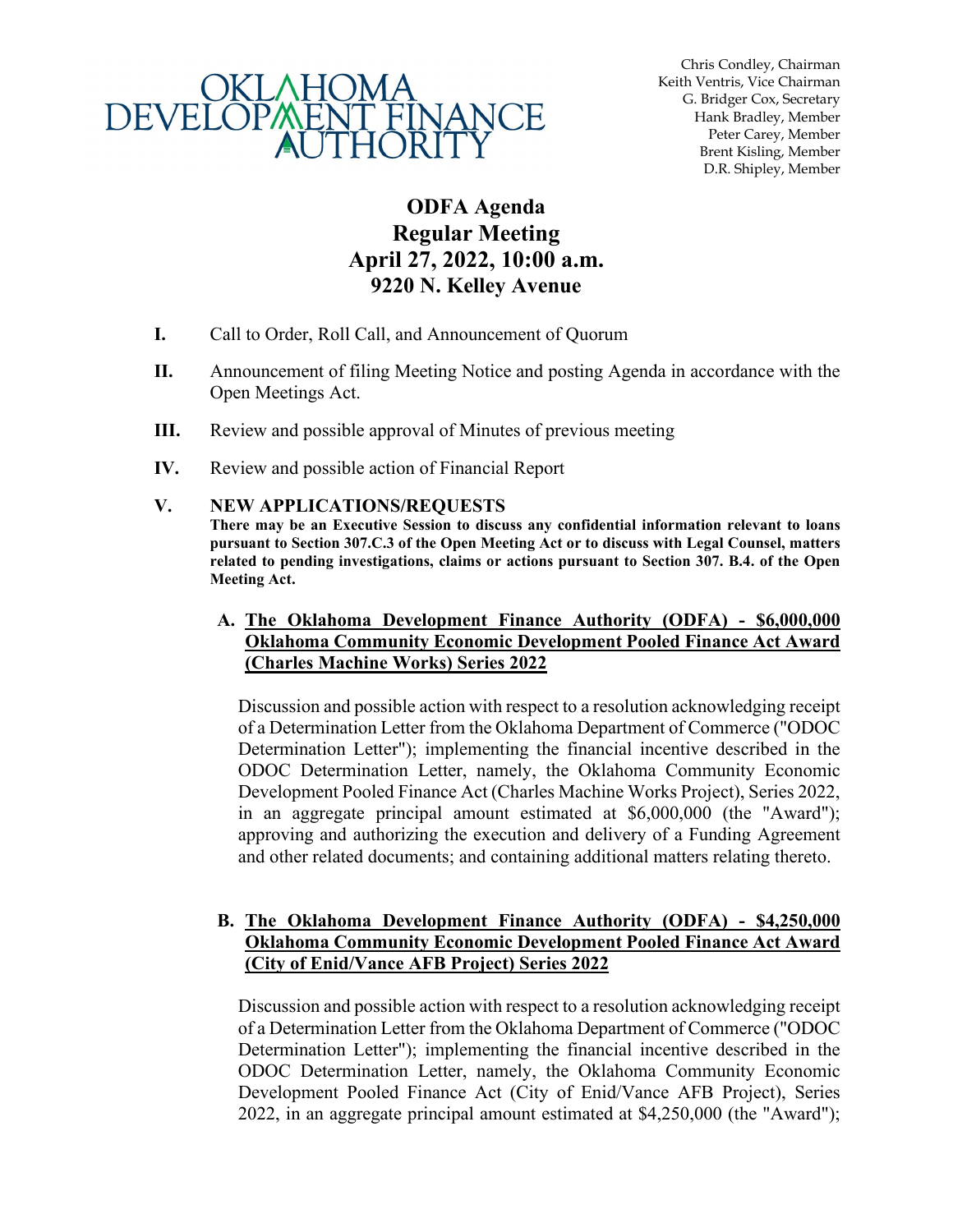

Chris Condley, Chairman Keith Ventris, Vice Chairman G. Bridger Cox, Secretary Hank Bradley, Member Peter Carey, Member Brent Kisling, Member D.R. Shipley, Member

## **ODFA Agenda Regular Meeting April 27, 2022, 10:00 a.m. 9220 N. Kelley Avenue**

- **I.** Call to Order, Roll Call, and Announcement of Quorum
- **II.** Announcement of filing Meeting Notice and posting Agenda in accordance with the Open Meetings Act.
- **III.** Review and possible approval of Minutes of previous meeting
- **IV.** Review and possible action of Financial Report

## **V. NEW APPLICATIONS/REQUESTS**

**There may be an Executive Session to discuss any confidential information relevant to loans pursuant to Section 307.C.3 of the Open Meeting Act or to discuss with Legal Counsel, matters related to pending investigations, claims or actions pursuant to Section 307. B.4. of the Open Meeting Act.**

## **A. The Oklahoma Development Finance Authority (ODFA) - \$6,000,000 Oklahoma Community Economic Development Pooled Finance Act Award (Charles Machine Works) Series 2022**

Discussion and possible action with respect to a resolution acknowledging receipt of a Determination Letter from the Oklahoma Department of Commerce ("ODOC Determination Letter"); implementing the financial incentive described in the ODOC Determination Letter, namely, the Oklahoma Community Economic Development Pooled Finance Act (Charles Machine Works Project), Series 2022, in an aggregate principal amount estimated at \$6,000,000 (the "Award"); approving and authorizing the execution and delivery of a Funding Agreement and other related documents; and containing additional matters relating thereto.

## **B. The Oklahoma Development Finance Authority (ODFA) - \$4,250,000 Oklahoma Community Economic Development Pooled Finance Act Award (City of Enid/Vance AFB Project) Series 2022**

Discussion and possible action with respect to a resolution acknowledging receipt of a Determination Letter from the Oklahoma Department of Commerce ("ODOC Determination Letter"); implementing the financial incentive described in the ODOC Determination Letter, namely, the Oklahoma Community Economic Development Pooled Finance Act (City of Enid/Vance AFB Project), Series 2022, in an aggregate principal amount estimated at \$4,250,000 (the "Award");